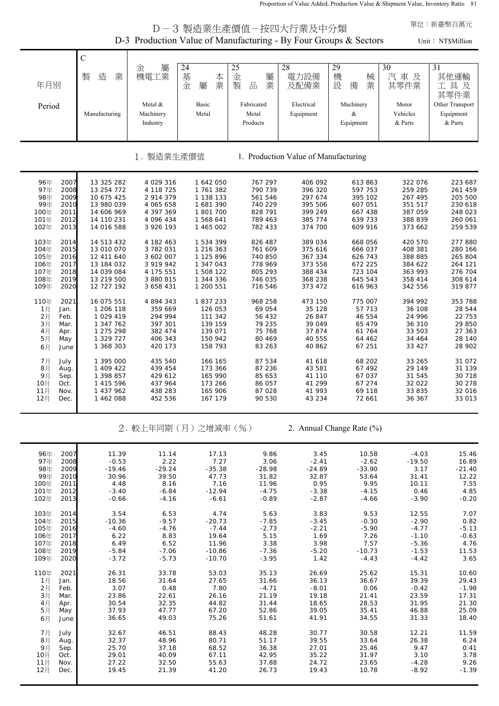Proportion of Value Added, Production Value & Shipment Value, Inventory Ratio 81

|                                                                                                              |                                                                                                | 單位:新臺幣百萬元                                                                               |                                                                                         |                                                                           |                                                                                           |                                                                           |                                                                           |                                                                           |  |  |
|--------------------------------------------------------------------------------------------------------------|------------------------------------------------------------------------------------------------|-----------------------------------------------------------------------------------------|-----------------------------------------------------------------------------------------|---------------------------------------------------------------------------|-------------------------------------------------------------------------------------------|---------------------------------------------------------------------------|---------------------------------------------------------------------------|---------------------------------------------------------------------------|--|--|
|                                                                                                              |                                                                                                |                                                                                         |                                                                                         |                                                                           | D-3 製造業生產價值-按四大行業及中分類<br>D-3 Production Value of Manufacturing - By Four Groups & Sectors |                                                                           |                                                                           | Unit: NT\$Million                                                         |  |  |
|                                                                                                              | $\mathsf{C}$                                                                                   |                                                                                         |                                                                                         |                                                                           |                                                                                           |                                                                           |                                                                           |                                                                           |  |  |
| 年月別                                                                                                          | 造<br>業<br>製                                                                                    | 屬<br>金<br>機電工業                                                                          | 24<br>基<br>本<br>業<br>金<br>屬                                                             | 25<br>金<br>屬<br>$\frac{\Box}{\Box \Box}$<br>製<br>業                        | 28<br>電力設備<br>及配備業                                                                        | 29<br>機<br>械<br>設<br>業<br>備                                               | 30<br>汽車及<br>其零件業                                                         | 31<br>其他運輸<br>工具及<br>其零件業                                                 |  |  |
| Period                                                                                                       | Manufacturing                                                                                  | Metal &<br>Machinery<br>Industry                                                        | Basic<br>Metal                                                                          | Fabricated<br>Metal<br>Products                                           | Electrical<br>Equipment                                                                   | Machinery<br>$\&$<br>Equipment                                            | Motor<br>Vehicles<br>& Parts                                              | Other Transport<br>Equipment<br>& Parts                                   |  |  |
| 製造業生產價值<br>1. Production Value of Manufacturing                                                              |                                                                                                |                                                                                         |                                                                                         |                                                                           |                                                                                           |                                                                           |                                                                           |                                                                           |  |  |
| 2007<br>96年<br>97年<br>2008<br>98年<br>2009<br>99年<br>2010<br>100年<br>2011<br>101年<br>2012<br>102年<br>2013     | 13 325 282<br>13 254 772<br>10 675 425<br>13 980 039<br>14 606 969<br>14 110 231<br>14 016 588 | 4 029 316<br>4 118 725<br>2 914 379<br>4 065 658<br>4 397 369<br>4 096 434<br>3 926 193 | 1 642 050<br>1 761 382<br>1 138 133<br>1 681 390<br>1 801 700<br>1 568 641<br>1 465 002 | 767 297<br>790 739<br>561 546<br>740 229<br>828 791<br>789 463<br>782 433 | 406 092<br>396 320<br>297 674<br>395 506<br>399 249<br>385 774<br>374 700                 | 613 863<br>597 753<br>395 102<br>607 051<br>667 438<br>639 733<br>609 916 | 322 076<br>259 285<br>267 495<br>351 517<br>387 059<br>388 839<br>373 662 | 223 687<br>261 459<br>205 500<br>230 618<br>248 023<br>260 061<br>259 539 |  |  |
| 103年<br>2014<br>104年<br>2015<br>105年<br>2016<br>106年<br>2017<br>107年<br>2018<br>108年<br>2019<br>109年<br>2020 | 14 513 432<br>13 010 070<br>12 411 640<br>13 184 032<br>14 039 084<br>13 219 500<br>12 727 192 | 4 182 463<br>3 782 031<br>3 602 007<br>3 919 942<br>4 175 551<br>3 880 815<br>3 658 431 | 1 534 399<br>1 216 363<br>1 125 896<br>1 347 043<br>1 508 122<br>1 344 336<br>1 200 551 | 826 487<br>761 609<br>740 850<br>778 969<br>805 293<br>746 035<br>716 546 | 389 034<br>375 616<br>367 334<br>373 558<br>388 434<br>368 238<br>373 472                 | 668 056<br>666 037<br>626 743<br>672 225<br>723 104<br>645 543<br>616 963 | 420 570<br>408 381<br>388 885<br>384 622<br>363 993<br>358 414<br>342 556 | 277 880<br>280 166<br>265 804<br>264 121<br>276 704<br>308 614<br>319 877 |  |  |
| 110年<br>2021<br>1月<br>Jan.<br>2月<br>Feb.<br>3月<br>Mar.<br>4月<br>Apr.<br>5月<br>May<br>6月<br>June              | 16 075 551<br>1 206 118<br>1 029 419<br>1 347 762<br>1 275 298<br>1 329 727<br>1 368 303       | 4 894 343<br>359 669<br>294 994<br>397 301<br>382 474<br>406 343<br>420 173             | 1837233<br>126 053<br>111 342<br>139 159<br>139 071<br>150 942<br>158 793               | 968 258<br>69 054<br>56 432<br>79 235<br>75 768<br>80 469<br>83 263       | 473 150<br>35 128<br>26 847<br>39 049<br>37 874<br>40 555<br>40 862                       | 775 007<br>57 713<br>46 554<br>65 479<br>61 764<br>64 462<br>67 251       | 394 992<br>36 108<br>24 996<br>36 310<br>33 503<br>34 464<br>33 427       | 353 788<br>28 544<br>22 753<br>29 850<br>27 363<br>28 140<br>28 902       |  |  |
| 7月<br>July<br>8月<br>Aug.<br>9月<br>Sep.<br>10月<br>Oct.<br>11月<br>Nov.<br>12月 Dec.                             | 1 395 000<br>1 409 422<br>1 398 857<br>1 415 596<br>1 437 962<br>1 462 088                     | 435 540<br>439 454<br>429 612<br>437 964<br>438 283<br>452 536                          | 166 165<br>173 366<br>165 990<br>173 266<br>165 906<br>167 179                          | 87 534<br>87 236<br>85 653<br>86 057<br>87 028<br>90 530                  | 41 618<br>43 581<br>41 110<br>41 299<br>41 993<br>43 234                                  | 68 202<br>67 492<br>67 037<br>67 274<br>69 118<br>72 661                  | 33 265<br>29 149<br>31 545<br>32 022<br>33 835<br>36 367                  | 31 072<br>31 139<br>30 718<br>30 278<br>32 016<br>33 013                  |  |  |
|                                                                                                              |                                                                                                |                                                                                         | 2. 較上年同期(月)之增減率(%)                                                                      |                                                                           |                                                                                           | 2. Annual Change Rate (%)                                                 |                                                                           |                                                                           |  |  |
| 96年<br>2007<br>97年<br>2008<br>98年<br>2009<br>99年<br>2010<br>100年<br>2011<br>101年<br>2012<br>102年<br>2013     | 11.39<br>$-0.53$<br>$-19.46$<br>30.96<br>4.48<br>$-3.40$<br>$-0.66$                            | 11.14<br>2.22<br>$-29.24$<br>39.50<br>8.16<br>$-6.84$<br>$-4.16$                        | 17.13<br>7.27<br>$-35.38$<br>47.73<br>7.16<br>$-12.94$<br>$-6.61$                       | 9.86<br>3.06<br>$-28.98$<br>31.82<br>11.96<br>$-4.75$<br>$-0.89$          | 3.45<br>$-2.41$<br>$-24.89$<br>32.87<br>0.95<br>$-3.38$<br>$-2.87$                        | 10.58<br>$-2.62$<br>$-33.90$<br>53.64<br>9.95<br>$-4.15$<br>$-4.66$       | $-4.03$<br>$-19.50$<br>3.17<br>31.41<br>10.11<br>0.46<br>$-3.90$          | 15.46<br>16.89<br>$-21.40$<br>12.22<br>7.55<br>4.85<br>$-0.20$            |  |  |
| 103年<br>2014<br>104年<br>2015<br>105年<br>2016<br>106年<br>2017<br>107年<br>2018<br>108年<br>2019<br>109年<br>2020 | 3.54<br>$-10.36$<br>$-4.60$<br>6.22<br>6.49<br>$-5.84$<br>$-3.72$                              | 6.53<br>$-9.57$<br>$-4.76$<br>8.83<br>6.52<br>$-7.06$<br>$-5.73$                        | 4.74<br>$-20.73$<br>$-7.44$<br>19.64<br>11.96<br>$-10.86$<br>$-10.70$                   | 5.63<br>$-7.85$<br>$-2.73$<br>5.15<br>3.38<br>$-7.36$<br>$-3.95$          | 3.83<br>$-3.45$<br>$-2.21$<br>1.69<br>3.98<br>$-5.20$<br>1.42                             | 9.53<br>$-0.30$<br>$-5.90$<br>7.26<br>7.57<br>$-10.73$<br>$-4.43$         | 12.55<br>$-2.90$<br>$-4.77$<br>$-1.10$<br>$-5.36$<br>$-1.53$<br>$-4.42$   | 7.07<br>0.82<br>$-5.13$<br>$-0.63$<br>4.76<br>11.53<br>3.65               |  |  |
| 110年<br>2021<br>1月<br>Jan.<br>2月<br>Feb.<br>3月<br>Mar.<br>4月<br>Apr.<br>5月<br>May                            | 26.31<br>18.56<br>3.07<br>23.86<br>30.54<br>37.93                                              | 33.78<br>31.64<br>0.48<br>22.61<br>32.35<br>47.77                                       | 53.03<br>27.65<br>7.80<br>26.16<br>44.82<br>67.20                                       | 35.13<br>31.66<br>$-4.71$<br>21.19<br>31.44<br>52.86                      | 26.69<br>36.13<br>$-8.01$<br>19.18<br>18.65<br>39.05                                      | 25.62<br>36.67<br>0.06<br>21.41<br>28.53<br>35.41                         | 15.31<br>39.39<br>$-0.42$<br>23.59<br>31.95<br>46.88                      | 10.60<br>29.43<br>$-1.98$<br>17.31<br>21.30<br>25.09                      |  |  |

6月 June 36.65 49.03 75.26 51.61 41.91 34.55 31.33 18.40 7月 July 32.67 46.51 88.43 48.28 30.77 30.58 12.21 11.59 8月 Aug. 32.37 48.96 80.71 51.17 39.55 33.64 26.38 6.24 9月 Sep. 25.70 37.18 68.52 36.38 27.01 25.46 9.47 0.41 10月 Oct. 29.01 40.09 67.11 42.95 35.22 31.97 3.10 3.78 11月 Nov. 27.22 32.50 55.63 37.88 24.72 23.65 -4.28 9.26 12月 Dec. 19.45 21.39 41.20 26.73 19.43 10.78 -8.92 -1.39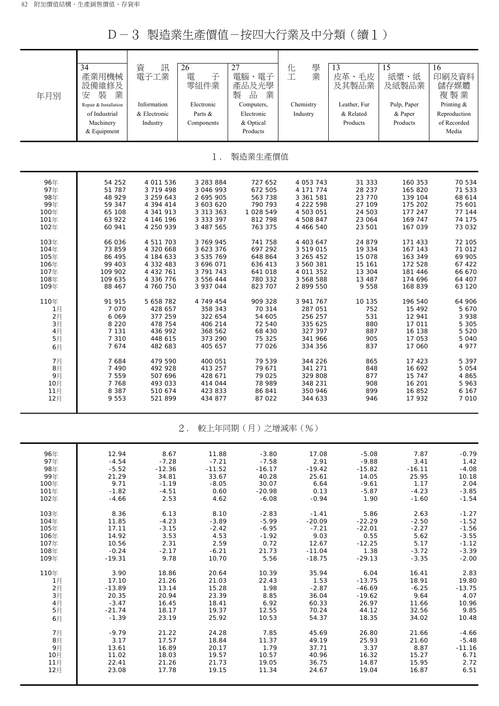D-3 製造業生產價值-按四大行業及中分類(續1)

| 年月別         | 34<br>產業用機械<br>設備維修及<br>裝<br>業<br>安<br>Repair & Installation | 資<br>訊<br>電子工業<br>Information | 26<br>電<br>子<br>零組件業<br>Electronic | $\overline{27}$<br>電腦、電子<br>產品及光學<br>$\frac{\Box}{\Box \Box}$<br>製<br>業<br>Computers, | 學<br>化<br>業<br>工<br>Chemistry | 13<br>皮革、毛皮<br>及其製品業<br>Leather, Fur | 15<br>紙漿、紙<br>及紙製品業<br>Pulp, Paper | 16<br>印刷及資料<br>儲存媒體<br>複製業<br>Printing & |
|-------------|--------------------------------------------------------------|-------------------------------|------------------------------------|---------------------------------------------------------------------------------------|-------------------------------|--------------------------------------|------------------------------------|------------------------------------------|
|             | of Industrial<br>Machinery<br>& Equipment                    | & Electronic<br>Industry      | Parts &<br>Components              | Electronic<br>& Optical<br>Products                                                   | Industry                      | & Related<br>Products                | & Paper<br>Products                | Reproduction<br>of Recorded<br>Media     |
|             |                                                              |                               | $1$ .                              | 製造業生產價值                                                                               |                               |                                      |                                    |                                          |
| 96年         | 54 252                                                       | 4 011 536                     | 3 283 884                          | 727 652                                                                               | 4 053 743                     | 31 333                               | 160 353                            | 70 534                                   |
| 97年         | 51 787                                                       | 3 719 498                     | 3 046 993                          | 672 505                                                                               | 4 171 774                     | 28 237                               | 165 820                            | 71 533                                   |
| 98年         | 48 929                                                       | 3 259 643                     | 2 695 905                          | 563 738                                                                               | 3 361 581                     | 23 770                               | 139 104                            | 68 614                                   |
| 99年<br>100年 | 59 347<br>65 108                                             | 4 394 414<br>4 341 913        | 3 603 620                          | 790 793<br>1 028 549                                                                  | 4 222 598                     | 27 109<br>24 503                     | 175 202<br>177 247                 | 75 601<br>77 144                         |
| 101年        | 63 922                                                       | 4 146 196                     | 3 3 1 3 3 6 3<br>3 3 3 3 3 9 7     | 812 798                                                                               | 4 503 051<br>4 508 847        | 23 064                               | 169 747                            | 74 175                                   |
| 102年        | 60 941                                                       | 4 250 939                     | 3 487 565                          | 763 375                                                                               | 4 466 540                     | 23 501                               | 167 039                            | 73 032                                   |
|             |                                                              |                               |                                    |                                                                                       |                               |                                      |                                    |                                          |
| 103年        | 66 036                                                       | 4 511 703                     | 3 769 945                          | 741 758                                                                               | 4 403 647                     | 24 879                               | 171 433                            | 72 105                                   |
| 104年        | 73 859                                                       | 4 320 668                     | 3 623 376                          | 697 292                                                                               | 3 519 015                     | 19 334                               | 167 143                            | 71 012                                   |
| 105年        | 86 495                                                       | 4 184 633                     | 3 535 769                          | 648 864                                                                               | 3 265 452                     | 15 078                               | 163 349                            | 69 905                                   |
| 106年        | 99 403                                                       | 4 332 483                     | 3 696 071                          | 636 413                                                                               | 3 560 381                     | 15 161                               | 172 528                            | 67 422                                   |
| 107年        | 109 902                                                      | 4 432 761                     | 3 791 743                          | 641 018                                                                               | 4 011 352                     | 13 304                               | 181 446                            | 66 670                                   |
| 108年        | 109 635                                                      | 4 336 776                     | 3 556 444                          | 780 332                                                                               | 3 568 588                     | 13 487                               | 174 696                            | 64 407                                   |
| 109年        | 88 467                                                       | 4 760 750                     | 3 937 044                          | 823 707                                                                               | 2 899 550                     | 9 5 5 8                              | 168 839                            | 63 120                                   |
| 110年        | 91 915                                                       | 5 658 782                     | 4 749 454                          | 909 328                                                                               | 3 941 767                     | 10 135                               | 196 540                            | 64 906                                   |
| 1月          | 7 0 7 0                                                      | 428 657                       | 358 343                            | 70 314                                                                                | 287 051                       | 752                                  | 15 492                             | 5 670                                    |
| 2月          | 6 0 6 9                                                      | 377 259                       | 322 654                            | 54 605                                                                                | 256 257                       | 531                                  | 12 941                             | 3 9 3 8                                  |
| 3月          | 8 2 2 0                                                      | 478 754                       | 406 214                            | 72 540                                                                                | 335 625                       | 880                                  | 17 011                             | 5 3 0 5                                  |
| 4月          | 7 1 3 1                                                      | 436 992                       | 368 562                            | 68 430                                                                                | 327 397                       | 887                                  | 16 138                             | 5 5 20                                   |
| 5月          | 7 3 1 0                                                      | 448 615                       | 373 290                            | 75 325                                                                                | 341 966                       | 905                                  | 17 053                             | 5 0 4 0                                  |
| 6月          | 7674                                                         | 482 683                       | 405 657                            | 77 026                                                                                | 334 356                       | 837                                  | 17 060                             | 4 977                                    |
| 7月          | 7684                                                         | 479 590                       | 400 051                            | 79 539                                                                                | 344 226                       | 865                                  | 17 423                             | 5 3 9 7                                  |
| 8月          | 7 4 9 0                                                      | 492 928                       | 413 257                            | 79 671                                                                                | 341 271                       | 848                                  | 16 692                             | 5 0 5 4                                  |
| 9月          | 7 5 5 9                                                      | 507 696                       | 428 671                            | 79 025                                                                                | 329 808                       | 877                                  | 15 747                             | 4 865                                    |
| 10月         | 7768                                                         | 493 033                       | 414 044                            | 78 989                                                                                | 348 231                       | 908                                  | 16 201                             | 5 963                                    |
| 11月         | 8 3 8 7                                                      | 510 674                       | 423 833                            | 86 841                                                                                | 350 946                       | 899                                  | 16 852                             | 6 1 6 7                                  |
| 12月         | 9 5 5 3                                                      | 521 899                       | 434 877                            | 87 022                                                                                | 344 633                       | 946                                  | 17 932                             | 7 0 1 0                                  |
|             |                                                              |                               | $2$ .                              | 較上年同期(月)之增減率(%)                                                                       |                               |                                      |                                    |                                          |
| 96年         | 12.94                                                        | 8.67                          | 11.88                              | $-3.80$                                                                               | 17.08                         | $-5.08$                              | 7.87                               | $-0.79$                                  |
| 97年         | $-4.54$                                                      | $-7.28$                       | $-7.21$                            | $-7.58$                                                                               | 2.91                          | $-9.88$                              | 3.41                               | 1.42                                     |
| 98年         | $-5.52$                                                      | $-12.36$                      | $-11.52$                           | $-16.17$                                                                              | $-19.42$                      | $-15.82$                             | $-16.11$                           | $-4.08$                                  |
| 99年         | 21.29                                                        | 34.81                         | 33.67                              | 40.28                                                                                 | 25.61                         | 14.05                                | 25.95                              | 10.18                                    |

| .    |          |         |         |         |          |          |         |          |
|------|----------|---------|---------|---------|----------|----------|---------|----------|
| 100年 | 9.71     | $-1.19$ | $-8.05$ | 30.07   | 6.64     | $-9.61$  | 1.17    | 2.04     |
| 101年 | $-1.82$  | -4.51   | 0.60    | -20.98  | 0.13     | -5.87    | $-4.23$ | $-3.85$  |
| 102年 | $-4.66$  | 2.53    | 4.62    | -6.08   | $-0.94$  | 1.90     | $-1.60$ | $-1.54$  |
|      |          |         |         |         |          |          |         |          |
| 103年 | 8.36     | 6.13    | 8.10    | $-2.83$ | $-1.41$  | 5.86     | 2.63    | $-1.27$  |
| 104年 | 11.85    | $-4.23$ | $-3.89$ | $-5.99$ | $-20.09$ | $-22.29$ | $-2.50$ | $-1.52$  |
| 105年 | 17.11    | $-3.15$ | $-2.42$ | $-6.95$ | $-7.21$  | $-22.01$ | $-2.27$ | $-1.56$  |
| 106年 | 14.92    | 3.53    | 4.53    | $-1.92$ | 9.03     | 0.55     | 5.62    | $-3.55$  |
| 107年 | 10.56    | 2.31    | 2.59    | 0.72    | 12.67    | $-12.25$ | 5.17    | $-1.12$  |
| 108年 | $-0.24$  | $-2.17$ | $-6.21$ | 21.73   | $-11.04$ | 1.38     | $-3.72$ | $-3.39$  |
| 109年 | $-19.31$ | 9.78    | 10.70   | 5.56    | -18.75   | $-29.13$ | $-3.35$ | $-2.00$  |
| 110年 | 3.90     | 18.86   | 20.64   | 10.39   | 35.94    | 6.04     | 16.41   | 2.83     |
| 1月   | 17.10    | 21.26   | 21.03   | 22.43   | 1.53     | $-13.75$ | 18.91   | 19.80    |
| 2月   | $-13.89$ | 13.14   | 15.28   | 1.98    | $-2.87$  | $-46.69$ | $-6.25$ | $-13.75$ |
| 3月   | 20.35    | 20.94   | 23.39   | 8.85    | 36.04    | $-19.62$ | 9.64    | 4.07     |
| 4月   | $-3.47$  | 16.45   | 18.41   | 6.92    | 60.33    | 26.97    | 11.66   | 10.96    |
| 5月   | $-21.74$ | 18.17   | 19.37   | 12.55   | 70.24    | 44.12    | 32.56   | 9.85     |
| 6月   | $-1.39$  | 23.19   | 25.92   | 10.53   | 54.37    | 18.35    | 34.02   | 10.48    |
|      |          |         |         |         |          |          |         |          |
| 7月   | $-9.79$  | 21.22   | 24.28   | 7.85    | 45.69    | 26.80    | 21.66   | $-4.66$  |
| 8月   | 3.17     | 17.57   | 18.84   | 11.37   | 49.19    | 25.93    | 21.60   | $-5.48$  |
| 9月   | 13.61    | 16.89   | 20.17   | 1.79    | 37.71    | 3.37     | 8.87    | $-11.16$ |
| 10月  | 11.02    | 18.03   | 19.57   | 10.57   | 40.96    | 16.32    | 15.27   | 6.71     |
| 11月  | 22.41    | 21.26   | 21.73   | 19.05   | 36.75    | 14.87    | 15.95   | 2.72     |
| 12月  | 23.08    | 17.78   | 19.15   | 11.34   | 24.67    | 19.04    | 16.87   | 6.51     |
|      |          |         |         |         |          |          |         |          |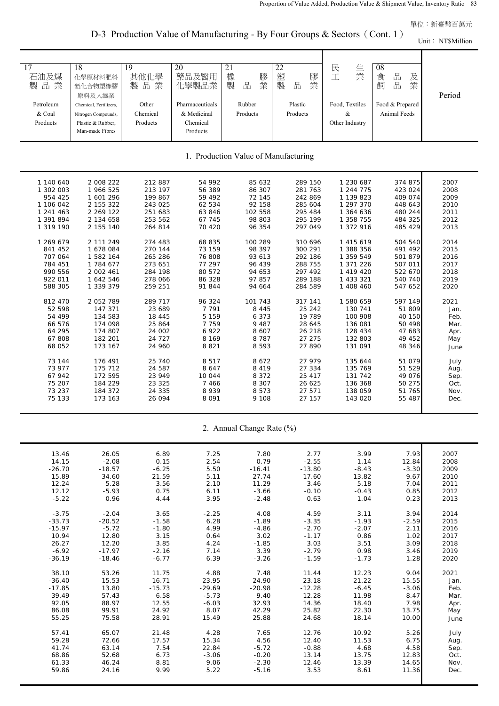單位:新臺幣百萬元

Unit: NT\$Million

D-3 Production Value of Manufacturing - By Four Groups & Sectors (Cont. 1)

| $\overline{17}$<br>石油及煤<br>製品業<br>Petroleum | 18<br>化學原材料肥料<br>氮化合物塑橡膠<br>原料及人纖業<br>Chemical, Fertilizers, | 19<br>其他化學<br>品業<br>製<br>Other | 20<br>藥品及醫用<br>化學製品業<br>Pharmaceuticals | 21<br>橡<br>膠<br>業<br>製<br>品<br>Rubber | 22<br>塑<br>膠<br>業<br>製<br>品<br>Plastic | 生業<br>民<br>工<br>Food, Textiles | 08<br>品<br>食<br>及<br>品<br>業<br>飼<br>Food & Prepared | Period |  |  |
|---------------------------------------------|--------------------------------------------------------------|--------------------------------|-----------------------------------------|---------------------------------------|----------------------------------------|--------------------------------|-----------------------------------------------------|--------|--|--|
| & Coal<br>Products                          | Nitrogen Compounds,<br>Plastic & Rubber,<br>Man-made Fibres  | Chemical<br>Products           | & Medicinal<br>Chemical<br>Products     | Products                              | Products                               | &<br>Other Industry            | <b>Animal Feeds</b>                                 |        |  |  |
| 1. Production Value of Manufacturing        |                                                              |                                |                                         |                                       |                                        |                                |                                                     |        |  |  |
| 1 140 640                                   | 2 008 222                                                    | 212 887                        | 54 992                                  | 85 632                                | 289 150                                | 1 230 687                      | 374 875                                             | 2007   |  |  |
| 1 302 003                                   | 1 966 525                                                    | 213 197                        | 56 389                                  | 86 307                                | 281 763                                | 1 244 775                      | 423 024                                             | 2008   |  |  |
| 954 425                                     | 1 601 296                                                    | 199 867                        | 59 492                                  | 72 145                                | 242 869                                | 1 139 823                      | 409 074                                             | 2009   |  |  |
| 1 106 042                                   | 2 155 322                                                    | 243 025                        | 62 534                                  | 92 158                                | 285 604                                | 1 297 370                      | 448 643                                             | 2010   |  |  |
| 1 241 463                                   | 2 269 122                                                    | 251 683                        | 63 846                                  | 102 558                               | 295 484                                | 1 364 636                      | 480 244                                             | 2011   |  |  |
| 1 391 894                                   | 2 134 658                                                    | 253 562                        | 67 745                                  | 98 803                                | 295 199                                | 1 358 755                      | 484 325                                             | 2012   |  |  |
| 1 319 190                                   | 2 155 140                                                    | 264 814                        | 70 420                                  | 96 354                                | 297 049                                | 1 372 916                      | 485 429                                             | 2013   |  |  |
| 1 269 679                                   | 2 111 249                                                    | 274 483                        | 68 835                                  | 100 289                               | 310 696                                | 1 415 619                      | 504 540                                             | 2014   |  |  |
| 841 452                                     | 1 678 084                                                    | 270 144                        | 73 159                                  | 98 397                                | 300 291                                | 1 388 356                      | 491 492                                             | 2015   |  |  |
| 707 064                                     | 1 582 164                                                    | 265 286                        | 76 808                                  | 93 613                                | 292 186                                | 1 359 549                      | 501 879                                             | 2016   |  |  |
| 784 451                                     | 1 784 677                                                    | 273 651                        | 77 297                                  | 96 439                                | 288 755                                | 1 371 226                      | 507 011                                             | 2017   |  |  |
| 990 556                                     | 2 002 461                                                    | 284 198                        | 80 572                                  | 94 653                                | 297 492                                | 1 419 420                      | 522 670                                             | 2018   |  |  |
| 922 011                                     | 1 642 546                                                    | 278 066                        | 86 328                                  | 97 857                                | 289 188                                | 1 433 321                      | 540 740                                             | 2019   |  |  |
| 588 305                                     | 1 339 379                                                    | 259 251                        | 91 844                                  | 94 664                                | 284 589                                | 1 408 460                      | 547 652                                             | 2020   |  |  |
| 812 470                                     | 2 052 789                                                    | 289 717                        | 96 324                                  | 101 743                               | 317 141                                | 1 580 659                      | 597 149                                             | 2021   |  |  |
| 52 598                                      | 147 371                                                      | 23 689                         | 7 7 9 1                                 | 8 4 4 5                               | 25 24 2                                | 130 741                        | 51 809                                              | Jan.   |  |  |
| 54 499                                      | 134 583                                                      | 18 445                         | 5 1 5 9                                 | 6 3 7 3                               | 19 789                                 | 100 908                        | 40 150                                              | Feb.   |  |  |
| 66 576                                      | 174 098                                                      | 25 864                         | 7 7 5 9                                 | 9 4 8 7                               | 28 645                                 | 136 081                        | 50 498                                              | Mar.   |  |  |
| 64 295                                      | 174 807                                                      | 24 002                         | 6922                                    | 8 6 0 7                               | 26 218                                 | 128 434                        | 47 683                                              | Apr.   |  |  |
| 67 808                                      | 182 201                                                      | 24 727                         | 8 1 6 9                                 | 8 7 8 7                               | 27 275                                 | 132 803                        | 49 452                                              | May    |  |  |
| 68 052                                      | 173 167                                                      | 24 960                         | 8821                                    | 8 5 9 3                               | 27 890                                 | 131 091                        | 48 346                                              | June   |  |  |
| 73 144                                      | 176 491                                                      | 25 740                         | 8517                                    | 8672                                  | 27 979                                 | 135 644                        | 51 079                                              | July   |  |  |
| 73 977                                      | 175 712                                                      | 24 587                         | 8 6 4 7                                 | 8 4 1 9                               | 27 334                                 | 135 769                        | 51 529                                              | Aug.   |  |  |
| 67 942                                      | 172 595                                                      | 23 949                         | 10 044                                  | 8 3 7 2                               | 25 417                                 | 131 742                        | 49 076                                              | Sep.   |  |  |
| 75 207                                      | 184 229                                                      | 23 325                         | 7 4 6 6                                 | 8 3 0 7                               | 26 625                                 | 136 368                        | 50 275                                              | Oct.   |  |  |
| 73 237                                      | 184 372                                                      | 24 335                         | 8 9 3 9                                 | 8 5 7 3                               | 27 571                                 | 138 059                        | 51 765                                              | Nov.   |  |  |
| 75 133                                      | 173 163                                                      | 26 094                         | 8 0 9 1                                 | 9 1 0 8                               | 27 157                                 | 143 020                        | 55 487                                              | Dec.   |  |  |

2. Annual Change Rate (%)

| 13.46    | 26.05    | 6.89     | 7.25     | 7.80     | 2.77     | 3.99    | 7.93    | 2007 |
|----------|----------|----------|----------|----------|----------|---------|---------|------|
| 14.15    | $-2.08$  | 0.15     | 2.54     | 0.79     | $-2.55$  | 1.14    | 12.84   | 2008 |
| $-26.70$ | $-18.57$ | $-6.25$  | 5.50     | $-16.41$ | $-13.80$ | $-8.43$ | $-3.30$ | 2009 |
| 15.89    | 34.60    | 21.59    | 5.11     | 27.74    | 17.60    | 13.82   | 9.67    | 2010 |
| 12.24    | 5.28     | 3.56     | 2.10     | 11.29    | 3.46     | 5.18    | 7.04    | 2011 |
| 12.12    | $-5.93$  | 0.75     | 6.11     | $-3.66$  | $-0.10$  | $-0.43$ | 0.85    | 2012 |
| $-5.22$  | 0.96     | 4.44     | 3.95     | $-2.48$  | 0.63     | 1.04    | 0.23    | 2013 |
| $-3.75$  | $-2.04$  | 3.65     | $-2.25$  | 4.08     | 4.59     | 3.11    | 3.94    | 2014 |
| $-33.73$ | $-20.52$ | $-1.58$  | 6.28     | $-1.89$  | $-3.35$  | $-1.93$ | $-2.59$ | 2015 |
| $-15.97$ | $-5.72$  | $-1.80$  | 4.99     | $-4.86$  | $-2.70$  | $-2.07$ | 2.11    | 2016 |
| 10.94    | 12.80    | 3.15     | 0.64     | 3.02     | $-1.17$  | 0.86    | 1.02    | 2017 |
| 26.27    | 12.20    | 3.85     | 4.24     | $-1.85$  | 3.03     | 3.51    | 3.09    | 2018 |
| $-6.92$  | $-17.97$ | $-2.16$  | 7.14     | 3.39     | $-2.79$  | 0.98    | 3.46    | 2019 |
| $-36.19$ | $-18.46$ | $-6.77$  | 6.39     | $-3.26$  | $-1.59$  | $-1.73$ | 1.28    | 2020 |
|          |          |          |          |          |          |         |         |      |
| 38.10    | 53.26    | 11.75    | 4.88     | 7.48     | 11.44    | 12.23   | 9.04    | 2021 |
| $-36.40$ | 15.53    | 16.71    | 23.95    | 24.90    | 23.18    | 21.22   | 15.55   | Jan. |
| $-17.85$ | 13.80    | $-15.73$ | $-29.69$ | $-20.98$ | $-12.28$ | $-6.45$ | $-3.06$ | Feb. |
| 39.49    | 57.43    | 6.58     | $-5.73$  | 9.40     | 12.28    | 11.98   | 8.47    | Mar. |
| 92.05    | 88.97    | 12.55    | $-6.03$  | 32.93    | 14.36    | 18.40   | 7.98    | Apr. |
| 86.08    | 99.91    | 24.92    | 8.07     | 42.29    | 25.82    | 22.30   | 13.75   | May  |
| 55.25    | 75.58    | 28.91    | 15.49    | 25.88    | 24.68    | 18.14   | 10.00   | June |
|          |          |          |          |          |          |         |         |      |
| 57.41    | 65.07    | 21.48    | 4.28     | 7.65     | 12.76    | 10.92   | 5.26    | July |
| 59.28    | 72.66    | 17.57    | 15.34    | 4.56     | 12.40    | 11.53   | 6.75    | Aug. |
| 41.74    | 63.14    | 7.54     | 22.84    | $-5.72$  | $-0.88$  | 4.68    | 4.58    | Sep. |
| 68.86    | 52.68    | 6.73     | $-3.06$  | $-0.20$  | 13.14    | 13.75   | 12.83   | Oct. |
| 61.33    | 46.24    | 8.81     | 9.06     | $-2.30$  | 12.46    | 13.39   | 14.65   | Nov. |
| 59.86    | 24.16    | 9.99     | 5.22     | $-5.16$  | 3.53     | 8.61    | 11.36   | Dec. |
|          |          |          |          |          |          |         |         |      |